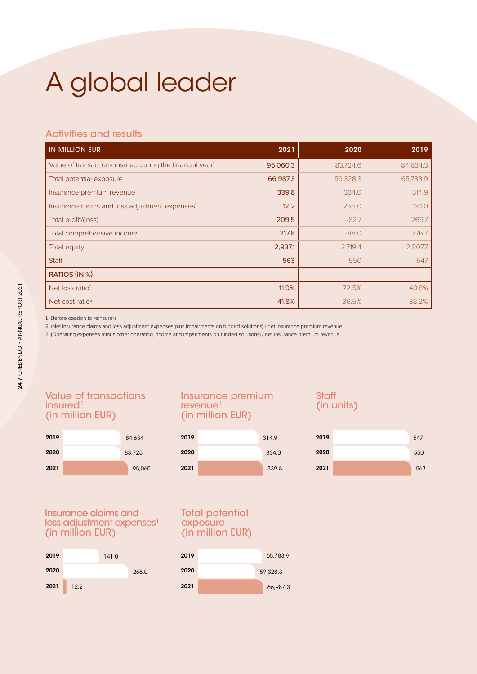# A global leader

## Activities and results

| <b>IN MILLION EUR</b>                                                | 2021     | 2020     | 2019     |
|----------------------------------------------------------------------|----------|----------|----------|
| Value of transactions insured during the financial year <sup>1</sup> | 95,060.3 | 83,724.6 | 84,634.3 |
| Total potential exposure                                             | 66,987.3 | 59,328.3 | 65,783.9 |
| Insurance premium revenue <sup>1</sup>                               | 339.8    | 334.0    | 314.9    |
| Insurance claims and loss adjustment expenses <sup>1</sup>           | 12.2     | 255.0    | 141.0    |
| Total profit/(loss)                                                  | 209.5    | $-82.7$  | 269.7    |
| Total comprehensive income                                           | 217.8    | $-88.0$  | 276.7    |
| Total equity                                                         | 2,937.1  | 2,719.4  | 2,807.7  |
| <b>Staff</b>                                                         | 563      | 550      | 547      |
| RATIOS (IN %)                                                        |          |          |          |
| Net loss ratio <sup>2</sup>                                          | 11.9%    | 72.5%    | 40.8%    |
| Net cost ratio <sup>3</sup>                                          | 41.8%    | 36.5%    | 38.2%    |

1. Before cession to reinsurers

2. (Net insurance claims and loss adjustment expenses plus impairments on funded solutions) / net insurance premium revenue

3. (Operating expenses minus other operating income and impairments on funded solutions) / net insurance premium revenue

### Value of transactions insured<sup>1</sup> (in million EUR)



#### Insurance premium revenue<sup>1</sup> (in million EUR)

| 2019 | 314.9 | 2019 |
|------|-------|------|
| 2020 | 334.0 | 2020 |
| 2021 | 339.8 | 2021 |

# **Staff** (in units)

| 314.9 | 2019 | 547 |
|-------|------|-----|
| 334.0 | 2020 | 550 |
| 339.8 | 2021 | 563 |

Insurance claims and loss adjustment expenses<sup>1</sup> (in million EUR)



#### Total potential exposure (in million EUR)